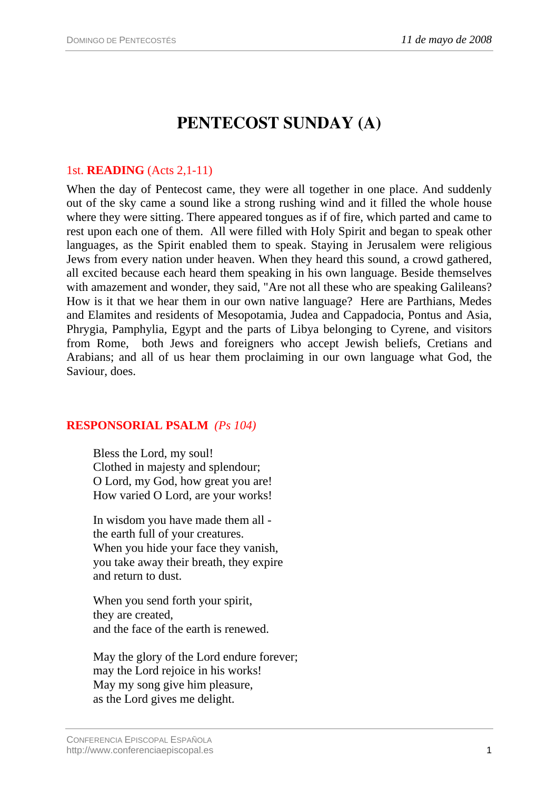# **PENTECOST SUNDAY (A)**

## 1st. **READING** (Acts 2,1-11)

When the day of Pentecost came, they were all together in one place. And suddenly out of the sky came a sound like a strong rushing wind and it filled the whole house where they were sitting. There appeared tongues as if of fire, which parted and came to rest upon each one of them. All were filled with Holy Spirit and began to speak other languages, as the Spirit enabled them to speak. Staying in Jerusalem were religious Jews from every nation under heaven. When they heard this sound, a crowd gathered, all excited because each heard them speaking in his own language. Beside themselves with amazement and wonder, they said, "Are not all these who are speaking Galileans? How is it that we hear them in our own native language? Here are Parthians, Medes and Elamites and residents of Mesopotamia, Judea and Cappadocia, Pontus and Asia, Phrygia, Pamphylia, Egypt and the parts of Libya belonging to Cyrene, and visitors from Rome, both Jews and foreigners who accept Jewish beliefs, Cretians and Arabians; and all of us hear them proclaiming in our own language what God, the Saviour, does.

### **RESPONSORIAL PSALM** *(Ps 104)*

Bless the Lord, my soul! Clothed in majesty and splendour; O Lord, my God, how great you are! How varied O Lord, are your works!

In wisdom you have made them all the earth full of your creatures. When you hide your face they vanish, you take away their breath, they expire and return to dust.

When you send forth your spirit, they are created, and the face of the earth is renewed.

May the glory of the Lord endure forever; may the Lord rejoice in his works! May my song give him pleasure, as the Lord gives me delight.